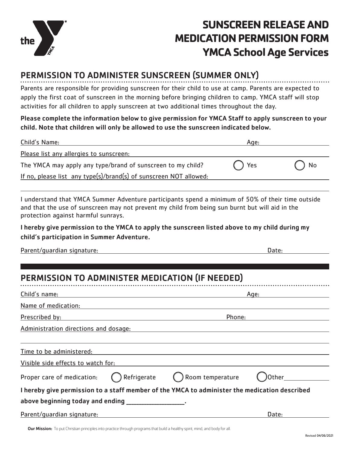

## **SUNSCREEN RELEASE AND MEDICATION PERMISSION FORM YMCA School Age Services**

## PERMISSION TO ADMINISTER SUNSCREEN (SUMMER ONLY)

. . . . . . . . . . Parents are responsible for providing sunscreen for their child to use at camp. Parents are expected to apply the first coat of sunscreen in the morning before bringing children to camp. YMCA staff will stop activities for all children to apply sunscreen at two additional times throughout the day.

Please complete the information below to give permission for YMCA Staff to apply sunscreen to your child. Note that children will only be allowed to use the sunscreen indicated below.

| Child's Name:                                                                                                                                                                                                                               | Age:   |       |
|---------------------------------------------------------------------------------------------------------------------------------------------------------------------------------------------------------------------------------------------|--------|-------|
| Please list any allergies to sunscreen:                                                                                                                                                                                                     |        |       |
| The YMCA may apply any type/brand of sunscreen to my child?                                                                                                                                                                                 | Yes    | No    |
| If no, please list any type(s)/brand(s) of sunscreen NOT allowed:                                                                                                                                                                           |        |       |
|                                                                                                                                                                                                                                             |        |       |
| I understand that YMCA Summer Adventure participants spend a minimum of 50% of their time outside<br>and that the use of sunscreen may not prevent my child from being sun burnt but will aid in the<br>protection against harmful sunrays. |        |       |
| I hereby give permission to the YMCA to apply the sunscreen listed above to my child during my<br>child's participation in Summer Adventure.                                                                                                |        |       |
| Parent/guardian signature:                                                                                                                                                                                                                  |        | Date: |
|                                                                                                                                                                                                                                             |        |       |
| PERMISSION TO ADMINISTER MEDICATION (IF NEEDED)                                                                                                                                                                                             |        |       |
| Child's name:                                                                                                                                                                                                                               | Age:   |       |
| Name of medication: Name of medication:                                                                                                                                                                                                     |        |       |
| Prescribed by:                                                                                                                                                                                                                              | Phone: |       |
| Administration directions and dosage: North States and States and States and States and States and States and States and States and States and States and States and States and States and States and States and States and St              |        |       |
|                                                                                                                                                                                                                                             |        |       |
| Time to be administered:                                                                                                                                                                                                                    |        |       |

|  | Visible side effects to watch for: |  |  |
|--|------------------------------------|--|--|
|  |                                    |  |  |

above beginning today and ending

|  |  |  | Proper care of medication: |
|--|--|--|----------------------------|
|--|--|--|----------------------------|

| Proper care of medication: $\bigcap$ Refrigerate | $\bigcap$ Room temperature | <b>O</b> Other |
|--------------------------------------------------|----------------------------|----------------|
|                                                  |                            |                |

| l hereby give permission to a staff member of the YMCA to administer the medication described |  |
|-----------------------------------------------------------------------------------------------|--|
|-----------------------------------------------------------------------------------------------|--|

| Parent/quardian signature: | Date: |
|----------------------------|-------|